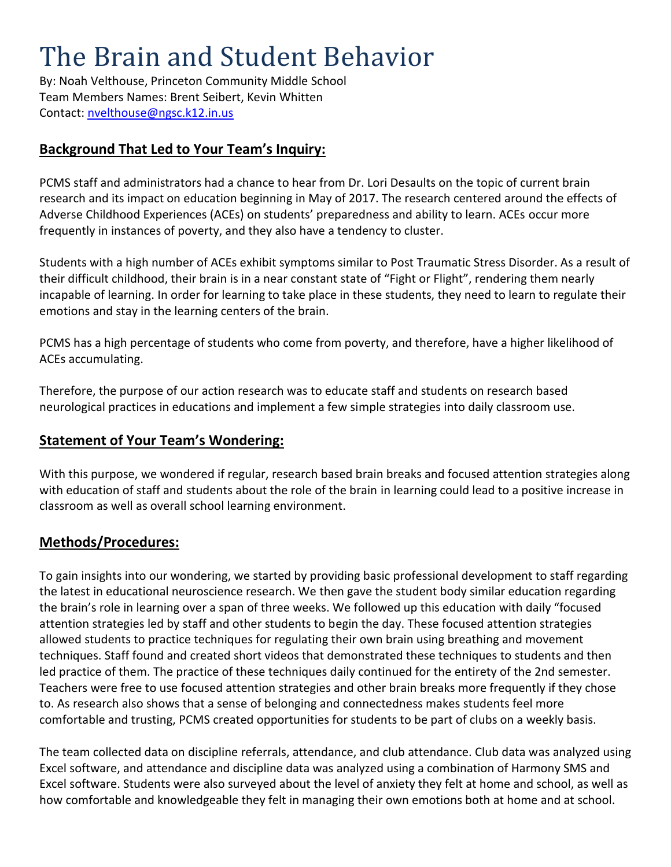# The Brain and Student Behavior

By: Noah Velthouse, Princeton Community Middle School Team Members Names: Brent Seibert, Kevin Whitten Contact:<nvelthouse@ngsc.k12.in.us>

## **Background That Led to Your Team's Inquiry:**

PCMS staff and administrators had a chance to hear from Dr. Lori Desaults on the topic of current brain research and its impact on education beginning in May of 2017. The research centered around the effects of Adverse Childhood Experiences (ACEs) on students' preparedness and ability to learn. ACEs occur more frequently in instances of poverty, and they also have a tendency to cluster.

Students with a high number of ACEs exhibit symptoms similar to Post Traumatic Stress Disorder. As a result of their difficult childhood, their brain is in a near constant state of "Fight or Flight", rendering them nearly incapable of learning. In order for learning to take place in these students, they need to learn to regulate their emotions and stay in the learning centers of the brain.

PCMS has a high percentage of students who come from poverty, and therefore, have a higher likelihood of ACEs accumulating.

Therefore, the purpose of our action research was to educate staff and students on research based neurological practices in educations and implement a few simple strategies into daily classroom use.

## **Statement of Your Team's Wondering:**

With this purpose, we wondered if regular, research based brain breaks and focused attention strategies along with education of staff and students about the role of the brain in learning could lead to a positive increase in classroom as well as overall school learning environment.

## **Methods/Procedures:**

To gain insights into our wondering, we started by providing basic professional development to staff regarding the latest in educational neuroscience research. We then gave the student body similar education regarding the brain's role in learning over a span of three weeks. We followed up this education with daily "focused attention strategies led by staff and other students to begin the day. These focused attention strategies allowed students to practice techniques for regulating their own brain using breathing and movement techniques. Staff found and created short videos that demonstrated these techniques to students and then led practice of them. The practice of these techniques daily continued for the entirety of the 2nd semester. Teachers were free to use focused attention strategies and other brain breaks more frequently if they chose to. As research also shows that a sense of belonging and connectedness makes students feel more comfortable and trusting, PCMS created opportunities for students to be part of clubs on a weekly basis.

The team collected data on discipline referrals, attendance, and club attendance. Club data was analyzed using Excel software, and attendance and discipline data was analyzed using a combination of Harmony SMS and Excel software. Students were also surveyed about the level of anxiety they felt at home and school, as well as how comfortable and knowledgeable they felt in managing their own emotions both at home and at school.